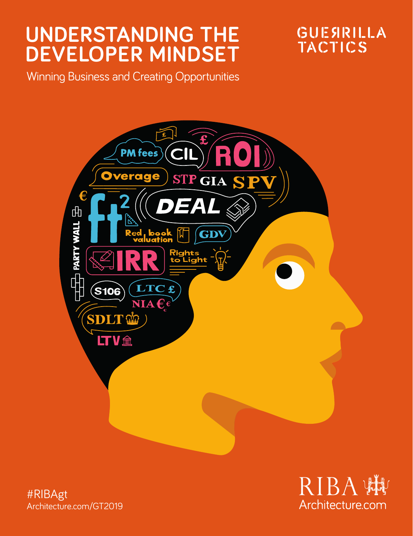# **UNDERSTANDING THE DEVELOPER MINDSET**

GUESIRILLA **TACTICS** 

Winning Business and Creating Opportunities



#RIBAgt Architecture.com/GT2019

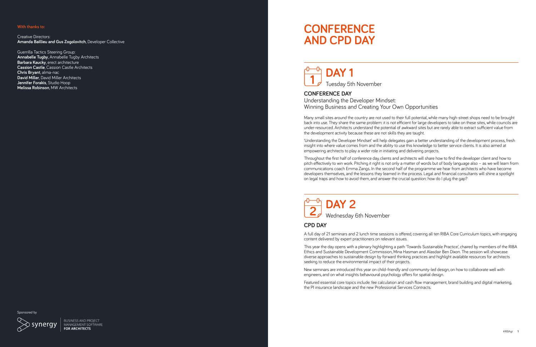#### **With thanks to:**

Creative Directors: **Amanda Baillieu and Gus Zogolovitch**, Developer Collective

Guerrilla Tactics Steering Group: **Annabelle Tugby**, Annabelle Tugby Architects **Barbara Kaucky**, erect architecture **Cassion Castle**, Cassion Castle Architects **Chris Bryant**, alma-nac **David Miller, David Miller Architects Jennifer Forakis**, Studio Hoop **Melissa Robinson**, MW Architects

## **CONFERENCE AND CPD DAY**

## $\stackrel{\text{\tiny{f\!0}}}{\rightarrow}$  DAY 1 Tuesday 5th November

**CONFERENCE DAY** 

Understanding the Developer Mindset: Winning Business and Creating Your Own Opportunities

Many small sites around the country are not used to their full potential, while many high-street shops need to be brought back into use. They share the same problem: it is not efficient for large developers to take on these sites, while councils are under-resourced. Architects understand the potential of awkward sites but are rarely able to extract sufficient value from the development activity because these are not skills they are taught.

'Understanding the Developer Mindset' will help delegates gain a better understanding of the development process, fresh insight into where value comes from and the ability to use this knowledge to better service clients. It is also aimed at empowering architects to play a wider role in initiating and delivering projects.

Throughout the first half of conference day, clients and architects will share how to find the developer client and how to pitch effectively to win work. Pitching it right is not only a matter of words but of body language also – as we will learn from communications coach Emma Zangs. In the second half of the programme we hear from architects who have become developers themselves, and the lessons they learned in the process. Legal and financial consultants will shine a spotlight on legal traps and how to avoid them, and answer the crucial question: how do I plug the gap?

**DAY 2** Wednesday 6th November

### **CPD DAY**

A full day of 21 seminars and 2 lunch time sessions is offered, covering all ten RIBA Core Curriculum topics, with engaging content delivered by expert practitioners on relevant issues.

This year the day opens with a plenary highlighting a path 'Towards Sustainable Practice', chaired by members of the RIBA Ethics and Sustainable Development Commission, Mina Hasman and Alasdair Ben Dixon. The session will showcase diverse approaches to sustainable design by forward thinking practices and highlight available resources for architects seeking to reduce the environmental impact of their projects.

New seminars are introduced this year on child-friendly and community-led design, on how to collaborate well with engineers, and on what insights behavioural psychology offers for spatial design.

Featured essential core topics include: fee calculation and cash flow management, brand building and digital marketing, the PI insurance landscape and the new Professional Services Contracts.

inonsored by

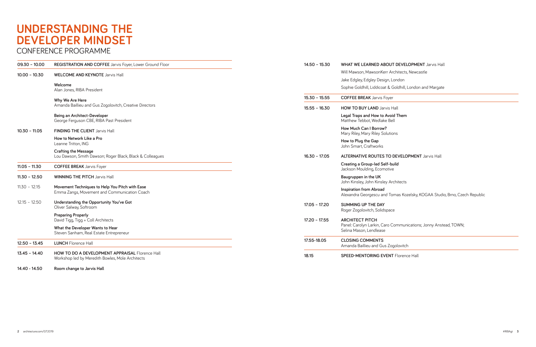# **UNDERSTANDING THE DEVELOPER MINDSET**

## CONFERENCE PROGRAMME

| $09.30 - 10.00$ | REGISTRATION AND COFFEE Jarvis Foyer, Lower Ground Floor                                                   | $14.50 - 15.30$ | <b>WHA</b>               |
|-----------------|------------------------------------------------------------------------------------------------------------|-----------------|--------------------------|
| $10.00 - 10.30$ | <b>WELCOME AND KEYNOTE Jarvis Hall</b>                                                                     |                 | Will N<br>Jake           |
|                 | Welcome<br>Alan Jones, RIBA President                                                                      |                 | Soph                     |
|                 | Why We Are Here                                                                                            | $15.30 - 15.55$ | <b>COFI</b>              |
|                 | Amanda Baillieu and Gus Zogolovitch, Creative Directors                                                    | $15.55 - 16.30$ | <b>HOW</b>               |
|                 | Being an Architect-Developer<br>George Ferguson CBE, RIBA Past President                                   |                 | Legal<br>Matth           |
| $10.30 - 11.05$ | <b>FINDING THE CLIENT Jarvis Hall</b>                                                                      |                 | How<br>Mary              |
|                 | How to Network Like a Pro<br>Leanne Tritton, ING                                                           |                 | How:<br>John             |
|                 | <b>Crafting the Message</b><br>Lou Dawson, Smith Dawson; Roger Black, Black & Colleagues                   | $16.30 - 17.05$ | <b>ALTE</b>              |
| $11.05 - 11.30$ | <b>COFFEE BREAK</b> Jarvis Foyer                                                                           |                 | Creat<br>Jacks           |
| $11.30 - 12.50$ | <b>WINNING THE PITCH Jarvis Hall</b>                                                                       |                 | Baug<br>John             |
| $11.30 - 12.15$ | Movement Techniques to Help You Pitch with Ease<br>Emma Zangs, Movement and Communication Coach            |                 | Inspir<br>Alexa          |
| $12.15 - 12.50$ | Understanding the Opportunity You've Got<br>Oliver Salway, Softroom                                        | $17.05 - 17.20$ | <b>SUM</b><br>Roge       |
|                 | <b>Preparing Properly</b><br>David Tigg, Tigg + Coll Architects                                            | $17.20 - 17.55$ | <b>ARCI</b>              |
|                 | What the Developer Wants to Hear<br>Steven Sanham, Real Estate Entrepreneur                                |                 | Panel<br>Selina          |
| $12.50 - 13.45$ | <b>LUNCH Florence Hall</b>                                                                                 | 17.55-18.05     | CLO <sub>S</sub><br>Amar |
| $13.45 - 14.40$ | <b>HOW TO DO A DEVELOPMENT APPRAISAL Florence Hall</b><br>Workshop led by Meredith Bowles, Mole Architects | 18.15           | <b>SPEE</b>              |

**14.40 - 14.50 Room change to Jarvis Hall**

| $14.50 - 15.30$ | <b>WHAT WE LEARNED ABOUT DEVELOPMENT Jarvis Hall</b>                                                                  |  |
|-----------------|-----------------------------------------------------------------------------------------------------------------------|--|
|                 | Will Mawson, MawsonKerr Architects, Newcastle                                                                         |  |
|                 | Jake Edgley, Edgley Design, London                                                                                    |  |
|                 | Sophie Goldhill, Liddicoat & Goldhill, London and Margate                                                             |  |
| $15.30 - 15.55$ | <b>COFFEE BREAK</b> Jarvis Foyer                                                                                      |  |
| $15.55 - 16.30$ | <b>HOW TO BUY LAND Jarvis Hall</b>                                                                                    |  |
|                 | Legal Traps and How to Avoid Them<br>Matthew Tebbot, Wedlake Bell                                                     |  |
|                 | How Much Can I Borrow?<br>Mary Riley, Mary Riley Solutions                                                            |  |
|                 | How to Plug the Gap<br>John Smart, Craftworks                                                                         |  |
| $16.30 - 17.05$ | <b>ALTERNATIVE ROUTES TO DEVELOPMENT Jarvis Hall</b>                                                                  |  |
|                 | Creating a Group-led Self-build<br>Jackson Moulding, Ecomotive                                                        |  |
|                 | Baugruppen in the UK<br>John Kinsley, John Kinsley Architects                                                         |  |
|                 | <b>Inspiration from Abroad</b><br>Alexandra Georgescu and Tomas Kozelsky, KOGAA Studio, Brno, Czech Republic          |  |
| $17.05 - 17.20$ | <b>SUMMING UP THE DAY</b><br>Roger Zogolovitch, Solidspace                                                            |  |
| $17.20 - 17.55$ | <b>ARCHITECT PITCH</b><br>Panel: Carolyn Larkin, Caro Communications; Jonny Anstead, TOWN;<br>Selina Mason, Lendlease |  |
| 17.55-18.05     | <b>CLOSING COMMENTS</b><br>Amanda Baillieu and Gus Zogolovitch                                                        |  |
| 18.15           | <b>SPEED-MENTORING EVENT Florence Hall</b>                                                                            |  |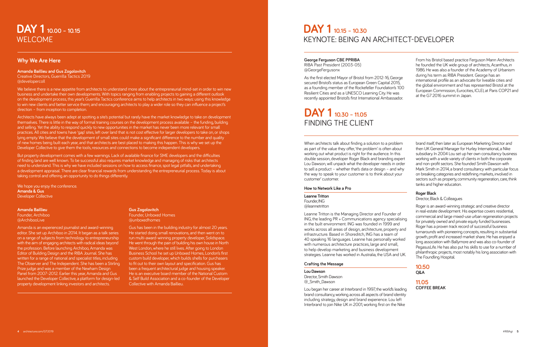## **DAY 1 10.00 – 10.15** WELCOME

### **Why We Are Here**

#### **Amanda Baillieu and Gus Zogolovitch**  Creative Directors, Guerrilla Tactics 2019

@developercoll

We believe there is a new appetite from architects to understand more about the entrepreneurial mind-set in order to win new business and undertake their own developments. With topics ranging from enabling projects to gaining a different outlook on the development process, this year's Guerrilla Tactics conference aims to help architects in two ways: using this knowledge to win new clients and better service them; and encouraging architects to play a wider role so they can influence a project's direction – from inception to completion.

Architects have always been adept at spotting a site's potential but rarely have the market knowledge to take on development themselves. There is little in the way of formal training courses on the development process available – the funding, building and selling. Yet the ability to respond quickly to new opportunities in the market has never been more relevant for small practices. All cities and towns have 'gap' sites, left over land that is not cost effective for larger developers to take on, or shops lying empty. We believe that the development of small sites could make a significant difference to the number and quality of new homes being built each year, and that architects are best placed to making this happen. This is why we set up the Developer Collective to give them the tools, resources and connections to become independent developers.

But property development comes with a few warnings. Lack of available finance for SME developers and the difficulties of finding land are well known. To be successful also requires market knowledge and managing of risks that architects need to understand. This is why we have included sessions on how to access finance, spot legal pitfalls, and undertaking a development appraisal. There are clear financial rewards from understanding the entrepreneurial process. Today is about taking control and offering an opportunity to do things differently.

We hope you enjoy the conference. **Amanda & Gus** Developer Collective

**Amanda Baillieu**  Founder, Archiboo @ArchibooLive

Amanda is an experienced journalist and award-winning editor. She set up Archiboo in 2014. It began as a talk series on a range of subjects from technology to entrepreneurship with the aim of engaging architects with radical ideas beyond the profession. Before launching Archiboo, Amanda was Editor of Building Design and the RIBA Journal. She has written for a range of national and specialist titles, including The Observer and The Independent. She has been a Stirling Prize judge and was a member of the Newham Design Panel from 2007-2012. Earlier this year, Amanda and Gus launched the Developer Collective, a platform for design-led property development linking investors and architects.

## **Gus Zogolovitch**

Founder, Unboxed Homes @unboxedhomes

Gus has been in the building industry for almost 20 years. He started doing small renovations, and then went on to run multi-award-winning property developer, Solidspace. He went through the pain of building his own house in North West London, where he still lives. After going to London Business School he set up Unboxed Homes, London's first custom build developer, which builds shells for purchasers to fit out to their own layout and specification. Gus has been a frequent architectural judge and housing speaker. He is an executive board member of the National Custom & Self Build Association and a co-founder of the Developer Collective with Amanda Baillieu.

## **DAY 1 10.15 – 10.30** KEYNOTE: BEING AN ARCHITECT-DEVELOPER

### **George Ferguson CBE PPRIBA**  RIBA Past President (2003-05)

@GeorgeFergusonx

As the first elected Mayor of Bristol from 2012-16, George secured Bristol's status as European Green Capital 2015, as a founding member of the Rockefeller Foundation's 100 Resilient Cities and as a UNESCO Learning City. He was recently appointed Bristol's first International Ambassador.

## **DAY 1 10.30 – 11.05** FINDING THE CLIENT

From his Bristol based practice Ferguson Mann Architects he founded the UK wide group of architects, Acanthus, in 1986. He was also a founder of the Academy of Urbanism during his term as RIBA President. George has an international profile as an advocate for liveable cities and the global environment and has represented Bristol at the European Commission, Eurocities, ICLEI, at Paris COP21 and at the G7 2016 summit in Japan.

When architects talk about finding a solution to a problem as part of the value they offer, 'the problem' is often about working out what product is right for the audience. In this double session, developer Roger Black and branding expert Lou Dawson, will unpack what the developer needs in order to sell a product – whether that's data or design – and why the way to speak to your customer is to think about your customer' customer.

### **How to Network Like a Pro**

**Leanne Tritton** Founder, ING @leannetritton

Leanne Tritton is the Managing Director and Founder of ING, the leading PR + Communications agency specialising in the built environment. ING was founded in 1999 and works across all areas of design, architecture, property and infrastructure. Based in Shoreditch, ING has a team of 40 speaking 16 languages. Leanne has personally worked with numerous architecture practices, large and small, to help develop marketing and business development strategies. Leanne has worked in Australia, the USA and UK.

#### **Crafting the Message**

**Lou Dawson**  Director, Smith Dawson @\_Smith\_Dawson

Lou began her career at Interbrand in 1997, the world's leading brand consultancy, working across all aspects of brand identity including strategy, design and brand experience. Lou left Interbrand to join Nike UK in 2001, working first on the Nike

brand itself, then later as European Marketing Director and then UK General Manager for Hurley International, a Nike subsidiary. In 2004 Lou set up her own consultancy business working with a wide variety of clients in both the corporate and non-profit sectors. She founded Smith Dawson with Mark Smith in 2014, a brand consultancy with particular focus on breaking categories and redefining markets, involved in sectors such as property, community regeneration, care, think tanks and higher education.

### **Roger Black**

Director, Black & Colleagues

Roger is an award-winning strategic and creative director in real-estate development. His expertise covers residential, commercial and large mixed-use urban regeneration projects for privately owned and private equity funded businesses. Roger has a proven track record of successful business turnarounds with pioneering concepts, resulting in substantial growth, profit and increased market share. He has enjoyed a long association with Ballymore and was also co-founder of PegasusLife. He has also put his skills to use for a number of philanthropic projects, most notably his long association with The Foundling Hospital.

| × |
|---|

**11.05 COFFEE BREAK**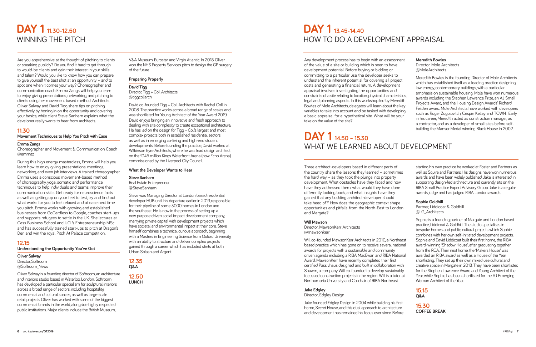## **DAY 1 11.30-12.50**  WINNING THE PITCH

Are you apprehensive at the thought of pitching to clients or speaking publicly? Do you find it hard to get through to would-be clients and gain their interest in your skills and talent? Would you like to know how you can prepare to give yourself the best shot at an opportunity – and to spot one when it comes your way? Choreographer and communication coach Emma Zangs will help you learn to enjoy giving presentations, networking, and pitching to clients using her movement based method. Architects Oliver Salway and David Tigg share tips on pitching effectively by honing in on the opportunity and covering your basics, while client Steve Sanham explains what the developer really wants to hear from architects.

## **11.30**

#### **Movement Techniques to Help You Pitch with Ease**

#### **Emma Zangs**

Choreographer and Movement & Communication Coach @emmaz

During this high energy masterclass, Emma will help you learn how to enjoy giving presentations, meetings, networking, and even job interviews. A trained choreographer, Emma uses a conscious movement-based method of choreography, yoga, somatic and performance techniques to help individuals and teams improve their communication skills. Get ready for neuroscience facts as well as getting up on your feet to test, try and find out what works for you to feel relaxed and at ease next time you pitch. Emma works with growing and established businesses from GoCardless to Google, coaches start-ups and supports refugees to settle in the UK. She lectures at Cass Business School and UCL's Entrepreneurship MSc and has successfully trained start-ups to pitch at Dragon's Den and win the royal Pitch At Palace competition.

### **12.15**

**Understanding the Opportunity You've Got** 

**Oliver Salway** 

Director, Softroom @Softroom\_News

Oliver Salway is a founding director of Softroom, an architecture and interiors studio based in Waterloo, London. Softroom has developed a particular specialism for sculptural interiors across a broad range of sectors, including hospitality, commercial and cultural spaces, as well as large-scale retail projects. Oliver has worked with some of the biggest commercial brands in the world, alongside highly respected public institutions. Major clients include the British Museum,

V&A Museum, Eurostar and Virgin Atlantic. In 2018, Oliver won the NHS Property Services pitch to design the GP surgery of the future

#### **Preparing Properly**

**David Tigg**  Director, Tigg + Coll Architects @tiggcollarch

David co-founded Tigg + Coll Architects with Rachel Coll in 2008. The practice works across a broad range of scales and was shortlisted for Young Architect of the Year Award 2019. David enjoys bringing an innovative and fresh approach to dealing with site complexity to create exceptional architecture. He has led on the design for Tigg + Coll's largest and most complex projects both in established residential sectors as well as in emerging co-living and high-end student developments. Before founding the practice, David worked at Wilkinson Eyre Architects, where he was lead design architect on the £145 million Kings Waterfront Arena (now Echo Arena) commissioned by the Liverpool City Council.

#### **What the Developer Wants to Hear**

#### **Steve Sanham**  Real Estate Entrepreneur @SteveSanham

Steve was Managing Director at London based residential developer HUB until his departure earlier in 2019, responsible for their pipeline of some 3000 homes in London and the southeast. He is now in the process of setting up a new purpose driven social impact development company, marrying private capital with development projects which have societal and environmental impact at their core. Steve himself combines a technical curious approach, beginning with a Masters in Engineering Science from Oxford University, with an ability to structure and deliver complex projects gained through a career which has included stints at both Urban Splash and Argent.

**12.35 Q&A**

**12.50 LUNCH** 

## **DAY 1 13.45-14.40**  HOW TO DO A DEVELOPMENT APPRAISAL

Any development process has to begin with an assessment of the value of a site or building which is seen to have development potential. Before buying or bidding or committing to a particular use, the developer seeks to understand the inherent potential for covering all project costs and generating a financial return. A development appraisal involves investigating the opportunities and constraints of a site relating to location, physical characteristics, legal and planning aspects. In this workshop led by Meredith Bowles of Mole Architects, delegates will learn about the key variables to take into account and be tasked with developing a basic appraisal for a hypothetical site. What will be your take on the value of the site?

## **DAY 1 14.50 – 15.30** WHAT WE LEARNED ABOUT DEVELOPMENT

#### **Meredith Bowles**

Director, Mole Architects @MoleArchitects

Meredith Bowles is the founding Director of Mole Architects which has established itself as a leading practice designing low energy, contemporary buildings, with a particular emphasis on sustainable housing. Mole have won numerous awards including the Stephen Lawrence Prize, an AJ Small Projects Award, and the Housing Design Awards' Richard Feilden award. Mole Architects have worked with developers such as Roger Zogolovitch, Crispin Kelley and TOWN. Early in his career, Meredith acted as construction manager, as a contractor, and as a developer of small sites before selfbuilding the Manser Medal winning Black House in 2002.

Three architect-developers based in different parts of the country share the lessons they learned – sometimes the hard way – as they took the plunge into property development. What obstacles have they faced and how have they addressed them, what would they have done differently looking back, and what insights have they gained that any budding architect-developer should take heed of?' How does the geographic context shape opportunities and pitfalls, from the North-East to London and Margate?

#### **Will Mawson**

Director, MawsonKerr Architects @mawsonkerr

Will co-founded MawsonKerr Architects in 2010, a Northeast based practice which has gone on to receive several national awards for projects with a sustainable and community driven agenda including a RIBA MacEwan and RIBA National Award. MawsonKerr have recently completed their first certified Passivhaus designed and built in collaboration with Shawm, a company Will co-founded to develop sustainably focussed construction projects in the region. Will is a tutor at Northumbria University and Co-chair of RIBA Northeast

#### **Jake Edgley**

Director, Edgley Design

Jake founded Edgley Design in 2004 while building his first home, Secret House, and this dual approach to architecture and development has remained his focus ever since. Before starting his own practice he worked at Foster and Partners as well as Squire and Partners. His designs have won numerous awards and have been widely published. Jake is interested in supporting design-led architecture and currently sits on the RIBA Small Practice Expert Advisory Group. Jake is a regular awards judge and has judged RIBA London awards.

#### **Sophie Goldhill**

Partner, Liddicoat & Goldhill @LG\_Architects

Sophie is a founding partner of Margate and London based practice, Liddicoat & Goldhill. The studio specialises in bespoke homes and public, cultural projects which Sophie combines with her own self-initiated development projects. Sophie and David Liddicoat built their first home, the RIBA award-winning 'Shadow House', after graduating together from the RCA. Their next home, the 'Makers House' was awarded an RIBA award as well as a House of the Year shortlisting. They set up their own mixed use cultural and creative space in Margate in 2018. They have been shortlisted for the Stephen Lawrence Award and Young Architect of the Year, while Sophie has been shortlisted for the AJ Emerging Woman Architect of the Year.

**15.15 Q&A**

**15.30 COFFEE BREAK**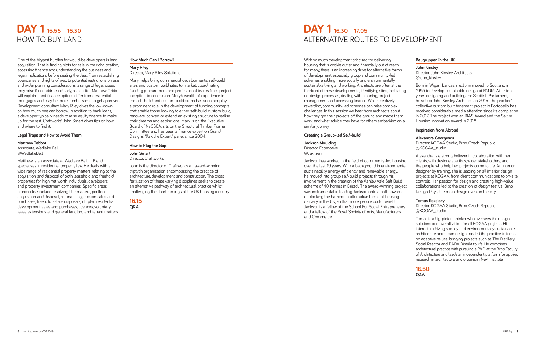## **DAY 1 15.55 – 16.30** HOW TO BUY LAND

One of the biggest hurdles for would-be developers is land acquisition. That is, finding plots for sale in the right location, accessing finance and understanding the business and legal implications before sealing the deal. From establishing boundaries and rights of way, to potential restrictions on use and wider planning considerations, a range of legal issues may arise if not addressed early, as solicitor Matthew Tebbot will explain. Land finance options differ from residential mortgages and may be more cumbersome to get approved. Development consultant Mary Riley gives the low-down on how much one can borrow. In addition to bank loans, a developer typically needs to raise equity finance to make up for the rest. Craftworks' John Smart gives tips on how and where to find it.

#### **Legal Traps and How to Avoid Them**

#### **Matthew Tebbot**

Associate, Wedlake Bell @WedlakeBell

Matthew is an associate at Wedlake Bell LLP and specialises in residential property law. He deals with a wide range of residential property matters relating to the acquisition and disposal of both leasehold and freehold properties for high net worth individuals, developers and property investment companies. Specific areas of expertise include resolving title matters, portfolio acquisition and disposal, re-financing, auction sales and purchases, freehold estate disposals, off plan residential development sales and purchases, licences, voluntary lease extensions and general landlord and tenant matters.

#### **How Much Can I Borrow?**

**Mary Riley** Director, Mary Riley Solutions

Mary helps bring commercial developments, self-build sites and custom build sites to market, coordinating funding procurement and professional teams from project inception to conclusion. Mary's wealth of experience in the self-build and custom build arena has seen her play a prominent role in the development of funding concepts that enable those looking to either self-build, custom build, renovate, convert or extend an existing structure to realise their dreams and aspirations. Mary is on the Executive Board of NaCSBA, sits on the Structural Timber Frame Committee and has been a finance expert on Grand Designs' "Ask the Expert" panel since 2004.

#### **How to Plug the Gap**

## **John Smart**

Director, Craftworks

John is the director of Craftworks, an award-winning triptych organisation encompassing the practice of architecture, development and construction. The cross fertilisation of these varying disciplines seeks to create an alternative pathway of architectural practice whilst challenging the shortcomings of the UK housing industry.

#### **16.15 Q&A**

## **DAY 1 16.30 – 17.05** ALTERNATIVE ROUTES TO DEVELOPMENT

With so much development criticised for delivering housing that is cookie cutter and financially out of reach for many, there is an increasing drive for alternative forms of development, especially group and community-led schemes enabling more socially and environmentally sustainable living and working. Architects are often at the forefront of these developments, identifying sites, facilitating co-design processes, dealing with planning, project management and accessing finance. While creatively rewarding, community-led schemes can raise complex challenges. In this session we hear from architects about how they got their projects off the ground and made them work, and what advice they have for others embarking on a similar journey.

#### **Creating a Group-led Self-build**

**Jackson Moulding**  Director, Ecomotive @Jax\_zen

Jackson has worked in the field of community-led housing over the last 19 years. With a background in environmental sustainability, energy efficiency and renewable energy, he moved into group self-build projects through his involvement in the creation of the Ashley Vale Self Build scheme of 40 homes in Bristol. The award-winning project was instrumental in leading Jackson onto a path towards unblocking the barriers to alternative forms of housing delivery in the UK, so that more people could benefit. Jackson is a fellow of the School For Social Entrepreneurs and a fellow of the Royal Society of Arts, Manufacturers and Commerce.

#### **Baugruppen in the UK**

**John Kinsley** Director, John Kinsley Architects

@john\_kinsley

Born in Wigan, Lancashire, John moved to Scotland in 1995 to develop sustainable design at RMJM. After ten years designing and building the Scottish Parliament, he set up John Kinsley Architects in 2016. The practice' collective custom built tenement project in Portobello has received considerable media attention since its completion in 2017. The project won an RIAS Award and the Saltire Housing Innovation Award in 2018.

#### **Inspiration from Abroad**

#### **Alexandra Georgescu**

Director, KOGAA Studio, Brno, Czech Republic @KOGAA\_studio

Alexandra is a strong believer in collaboration with her clients, with designers, artists, wider stakeholders, and the people who help her projects come to life. An interior designer by training, she is leading on all interior design projects at KOGAA, from client communications to on-site controls. Her passion for design and creating high-value collaborations led to the creation of design festival Brno Design Days, the main design event in the city.

#### **Tomas Kozelsky**

Director, KOGAA Studio, Brno, Czech Republic @KOGAA\_studio

Tomas is a big-picture thinker who oversees the design solutions and overall vision for all KOGAA projects. His interest in driving socially and environmentally sustainable architecture and urban design has led the practice to focus on adaptive re-use, bringing projects such as The Distillery – Social Reactor and DADA Distrikt to life. He combines architectural practice with pursuing a Ph.D. at the Brno Faculty of Architecture and leads an independent platform for applied research in architecture and urbanism, Next Institute.

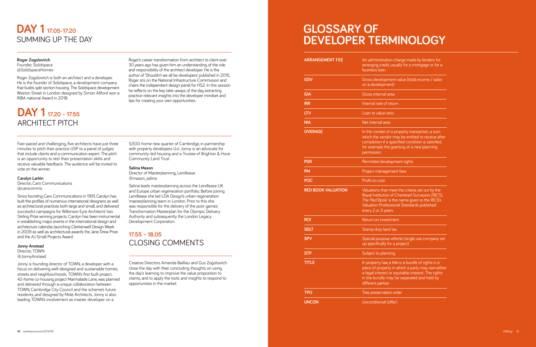## **DAY 1 17.05-17.20**  SUMMING UP THE DAY

## **Roger Zogolovitch**

@SolidspaceHomes

Roger Zogolovitch is both an architect and a developer. He is the founder of Solidspace, a development company that builds split section housing. The Solidspace development Weston Street in London designed by Simon Allford won a RIBA national Award in 2018.

## **DAY 1 17.20 – 17.55** ARCHITECT PITCH

Fast-paced and challenging, five architects have just three minutes to pitch their practice USP to a panel of judges that include clients and a communication expert. The pitch is an opportunity to test their presentation skills and receive valuable feedback. The audience will be invited to vote on the winner.

#### **Carolyn Larkin**

Director, Caro Communications @carocomms

Since founding Caro Communications in 1991, Carolyn has built the profiles of numerous international designers as well as architectural practices both large and small, and delivered successful campaigns for Wilkinson Eyre Architects' two Stirling Prize winning projects. Carolyn has been instrumental in establishing major events in the international design and architecture calendar, launching Clerkenwell Design Week in 2009 as well as architectural awards the Jane Drew Prize and the AJ Small Projects Award.

## **Jonny Anstead Director TOWN**

@JonnyAnstead

Jonny is founding director of TOWN, a developer with a focus on delivering well-designed and sustainable homes, streets and neighbourhoods. TOWN's first built project, 42-home co-housing project Marmalade Lane, was planned and delivered through a unique collaboration between TOWN, Cambridge City Council and the scheme's future residents, and designed by Mole Architects. Jonny is also leading TOWN's involvement as master developer on a

Roger's career transformation from architect to client over 30 years ago has given him an understanding of the role and responsibility of the architect developer. He is the author of 'Shouldn't we all be developers' published in 2015. Roger sits on the National Infrastructure Commission and chairs the independent design panel for HS2. In this session he reflects on the key take-aways of the day, extracting practice-relevant insights into the developer mindset and tips for creating your own opportunities.

5,500-home new quarter of Cambridge, in partnership with property developers U+I. Jonny is an advocate for community-led housing and a Trustee of Brighton & Hove Community Land Trust

#### **Selina Mason**

Director of Masterplanning, Lendlease @mason\_selina

Selina leads masterplanning across the Lendlease UK and Europe urban regeneration portfolio. Before joining Lendlease she led LDA Design's urban regeneration masterplanning team in London. Prior to this she was responsible for the delivery of the post-games Transformation Masterplan for the Olympic Delivery Authority and subsequently the London Legacy Development Corporation.

**17.55 – 18.05**  CLOSING COMMENT S

Creative Directors Amanda Baillieu and Gus Zogolovitch close the day with their concluding thoughts on using the day's learning to improve the value proposition to clients, and to apply the tools and insights to respond to opportunities in the market.

## **GLOSSARY OF DEVELOPER TERMINOLOGY**

| <b>ARRANGEMENT FEE</b>    | An administration charge made by lenders for<br>arranging credit, usually for a mortgage or for a<br>business loan.                                                                                                               |
|---------------------------|-----------------------------------------------------------------------------------------------------------------------------------------------------------------------------------------------------------------------------------|
| <b>GDV</b>                | Gross development value (total income / sales<br>on a development)                                                                                                                                                                |
| <b>GIA</b>                | Gross internal area                                                                                                                                                                                                               |
| <b>IRR</b>                | Internal rate of return                                                                                                                                                                                                           |
| <b>LTV</b>                | Loan to value ratio                                                                                                                                                                                                               |
| <b>NIA</b>                | Net internal area                                                                                                                                                                                                                 |
| <b>OVERAGE</b>            | In the context of a property transaction, a sum<br>which the vendor may be entitled to receive after<br>completion if a specified condition is satisfied,<br>for example the granting of a new planning<br>permission.            |
| <b>PDR</b>                | Permitted development rights                                                                                                                                                                                                      |
| <b>PM</b>                 | Project management fees                                                                                                                                                                                                           |
| <b>POC</b>                | Profit on cost                                                                                                                                                                                                                    |
| <b>RED BOOK VALUATION</b> | Valuations that meet the criteria set out by the<br>Royal Institution of Chartered Surveyors (RICS).<br>The 'Red Book' is the name given to the RICS's<br>Valuation Professional Standards published<br>every 2 or 3 years.       |
| <b>ROI</b>                | Return on investment                                                                                                                                                                                                              |
| <b>SDLT</b>               | Stamp duty land tax                                                                                                                                                                                                               |
| <b>SPV</b>                | Special purpose vehicle (single use company set<br>up specifically for a project)                                                                                                                                                 |
| <b>STP</b>                | Subject to planning                                                                                                                                                                                                               |
| <b>TITLE</b>              | In property law, a title is a bundle of rights in a<br>piece of property in which a party may own either<br>a legal interest or equitable interest. The rights<br>in the bundle may be separated and held by<br>different parties |
| <b>TPO</b>                | Tree preservation order                                                                                                                                                                                                           |
| <b>UNCON</b>              | Unconditional (offer)                                                                                                                                                                                                             |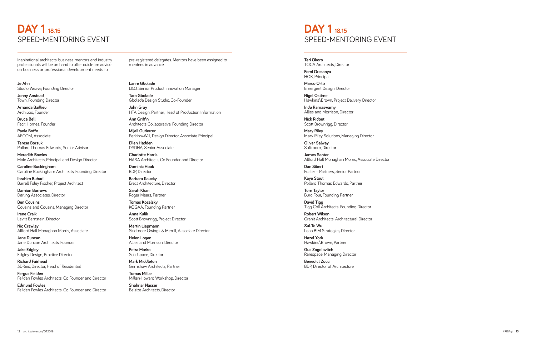## **DAY 1 18.15** SPEED-MENTORING EVENT

Inspirational architects, business mentors and industry professionals will be on hand to offer quick-fire advice on business or professional development needs to

**Je Ahn** Studio Weave, Founding Director

**Jonny Anstead** Town, Founding Director

**Amanda Baillieu** Archiboo, Founder

**Bruce Bell** Facit Homes, Founder

**Paola Boffo** AECOM, Associate

**Teresa Borsuk** Pollard Thomas Edwards, Senior Advisor

**Meredith Bowles** Mole Architects, Principal and Design Director

**Caroline Buckingham** Caroline Buckingham Architects, Founding Director

**Ibrahim Buhari** Burrell Foley Fischer, Project Architect

**Damion Burrows** Darling Associates, Director

**Ben Cousins** Cousins and Cousins, Managing Director

**Irene Craik** Levitt Bernstein, Director

**Nic Crawley** Allford Hall Monaghan Morris, Associate

**Jane Duncan** Jane Duncan Architects, Founder

**Jake Edgley** Edgley Design, Practice Director

**Richard Fairhead** 3DReid, Director, Head of Residential

**Fergus Feilden** Feilden Fowles Architects, Co Founder and Director

**Edmund Fowles** Feilden Fowles Architects, Co Founder and Director pre-registered delegates. Mentors have been assigned to mentees in advance.

**Lanre Gbolade** L&Q, Senior Product Innovation Manager

**Tara Gbolade** Gbolade Design Studio, Co-Founder

**John Gray** HTA Design, Partner, Head of Production Information

**Ann Griffin** Architects Collaborative, Founding Director

**Mijail Gutierrez** Perkins+Will, Design Director, Associate Principal

**Ellen Hadden** DSDHA, Senior Associate

**Charlotte Harris** HASA Architects, Co Founder and Director

**Dominic Hook** BDP, Director

**Barbara Kaucky** Erect Architecture, Director

**Sarah Khan** Roger Mears, Partner

**Tomas Kozelsky** KOGAA, Founding Partner

**Anna Kulik** Scott Brownrigg, Project Director

**Martin Liepmann** Skidmore Owings & Merrill, Associate Director

**Helen Logan** Allies and Morrison, Director

**Petra Marko** Solidspace, Director

**Mark Middleton** Grimshaw Architects, Partner

**Tomas Millar** Millar+Howard Workshop, Director

**Shahriar Nasser** Belsize Architects, Director

## **DAY 1 18.15** SPEED-MENTORING EVENT

**Teri Okoro** TOCA Architects, Director

**Femi Oresanya** HOK, Principal

**Marco Ortiz** Emergent Design, Director

**Nigel Ostime** Hawkins\Brown, Project Delivery Director

**Indu Ramaswamy** Allies and Morrison, Director

**Nick Ridout** Scott Brownrigg, Director

**Mary Riley** Mary Riley Solutions, Managing Director

**Oliver Salway** Softroom, Director

**James Santer** Allford Hall Monaghan Morris, Associate Director

**Dan Sibert** Foster + Partners, Senior Partner

**Kaye Stout** Pollard Thomas Edwards, Partner

**Tom Taylor** Buro Four, Founding Partner

**David Tigg** Tigg Coll Architects, Founding Director

**Robert Wilson** Granit Architects, Architectural Director

**Sui-Te Wu** Lean BIM Strategies, Director

**Hazel York** Hawkins\Brown, Partner

**Gus Zogolovitch** Rarespace, Managing Director

**Benedict Zucci** BDP, Director of Architecture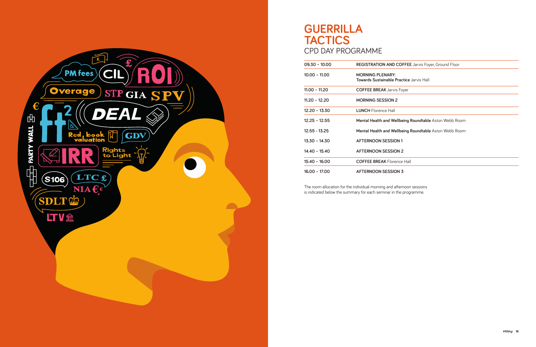

## **GUERRILLA TACTICS** CPD DAY PROGRAMME

| $09.30 - 10.00$ | <b>REGISTRATION AND COFFEE</b> Jarvis Foyer, Ground Floor                  |
|-----------------|----------------------------------------------------------------------------|
| $10.00 - 11.00$ | <b>MORNING PLENARY:</b><br><b>Towards Sustainable Practice Jarvis Hall</b> |
| $11.00 - 11.20$ | <b>COFFEE BREAK</b> Jarvis Foyer                                           |
| $11.20 - 12.20$ | <b>MORNING SESSION 2</b>                                                   |
| $12.20 - 13.30$ | <b>LUNCH</b> Florence Hall                                                 |
| $12.25 - 12.55$ | <b>Mental Health and Wellbeing Roundtable</b> Aston Webb Room              |
| $12.55 - 13.25$ | Mental Health and Wellbeing Roundtable Aston Webb Room                     |
| $13.30 - 14.30$ | <b>AFTERNOON SESSION 1</b>                                                 |
| $14.40 - 15.40$ | <b>AFTERNOON SESSION 2</b>                                                 |
| $15.40 - 16.00$ | <b>COFFEE BREAK Florence Hall</b>                                          |
| $16.00 - 17.00$ | <b>AFTERNOON SESSION 3</b>                                                 |

The room allocation for the individual morning and afternoon sessions is indicated below the summary for each seminar in the programme.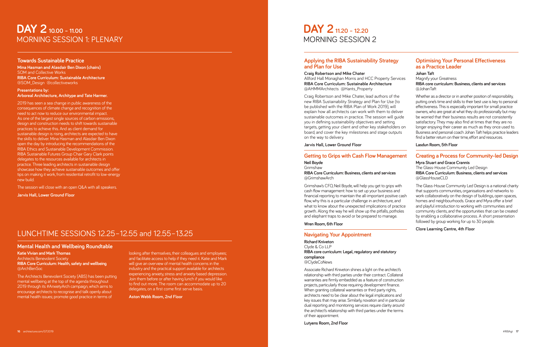## **DAY 2 10.00 – 11.00** MORNING SESSION 1: PLENARY

#### **Towards Sustainable Practice**

**Mina Hasman and Alasdair Ben Dixon (chairs)**  SOM and Collective Works **RIBA Core Curriculum: Sustainable Architecture** @SOM\_Design @collectiveworks

#### **Presentations by: Arboreal Architecture, Architype and Tate Harmer.**

2019 has seen a sea change in public awareness of the consequences of climate change and recognition of the need to act now to reduce our environmental impact. As one of the largest single sources of carbon emissions, design and construction needs to shift towards sustainable practices to achieve this. And as client demand for sustainable design is rising, architects are expected to have the skills to deliver. Mina Hasman and Alasdair Ben Dixon open the day by introducing the recommendations of the RIBA Ethics and Sustainable Development Commission. RIBA Sustainable Futures Group Chair Gary Clark points delegates to the resources available for architects in practice. Three leading architects in sustainable design showcase how they achieve sustainable outcomes and offer tips on making it work, from residential retrofit to low-energy new build.

The session will close with an open Q&A with all speakers.

**Jarvis Hall, Lower Ground Floor**

## LUNCHTIME SESSIONS 12.25–12.55 and 12.55–13.25

#### **Mental Health and Wellbeing Roundtable**

**Katie Vivian and Mark Thomas** Architects Benevolent Society **RIBA Core Curriculum: Health, safety and wellbeing**  @ArchBenSoc

The Architects Benevolent Society (ABS) has been putting mental wellbeing at the top of the agenda throughout 2019 through its #AnxietyArch campaign, which aims to encourage architects to recognise and talk openly about mental health issues; promote good practice in terms of

looking after themselves, their colleagues and employees; and facilitate access to help if they need it. Katie and Mark will give an overview of mental health concerns in the industry and the practical support available for architects experiencing anxiety, stress and anxiety based depression. Join them before or after having lunch if you would like to find out more. The room can accommodate up to 20 delegates, on a first come first serve basis.

**Aston Webb Room, 2nd Floor**

## **DAY 2 11.20 – 12.20** MORNING SESSION 2

### **Applying the RIBA Sustainability Strategy and Plan for Use**

**Craig Robertson and Mike Chater** Allford Hall Monaghan Morris and HCC Property Services **RIBA Core Curriculum: Sustainable Architecture**  @AHMMArchitects @Hants\_Property

Craig Robertson and Mike Chater, lead authors of the new RIBA Sustainability Strategy and Plan for Use (to be published with the RIBA Plan of Work 2019), will explain how all architects can work with them to deliver sustainable outcomes in practice. The session will quide you in defining sustainability objectives and setting targets, getting your client and other key stakeholders on board, and cover the key milestones and stage outputs on the way to delivery.

**Jarvis Hall, Lower Ground Floor**

### **Getting to Grips with Cash Flow Management**

#### **Neil Boyde** Grimshaw

**RIBA Core Curriculum: Business, clients and services** @GrimshawArch

Grimshaw's CFO, Neil Boyde, will help you get to grips with cash flow management: how to set up your business and financial reporting to maintain the all-important positive cash flow, why this is a particular challenge in architecture, and what to know about the unexpected implications of practice growth. Along the way he will show up the pitfalls, potholes and elephant traps to avoid or be prepared to manage.

#### **Wren Room, 6th Floor**

### **Navigating Your Appointment**

**Richard Kniveton** Clyde & Co LLP **RIBA core curriculum: Legal, regulatory and statutory compliance** @ClydeCoNews

Associate Richard Kniveton shines a light on the architect's relationship with third parties under their contract. Collateral warranties are firmly embedded as a feature of construction projects, particularly those requiring development finance. When granting collateral warranties or third party rights, architects need to be clear about the legal implications and key issues that may arise. Similarly, novation and in particular dual reporting and monitoring services require clarity around the architect's relationship with third parties under the terms of their appointment.

#### **Lutyens Room, 2nd Floor**

### **Optimising Your Personal Effectiveness as a Practice Leader**

**Johan Taft** Magnify your Greatness **RIBA core curriculum: Business, clients and services** @JohanTaft

Whether as a director or in another position of responsibility, putting one's time and skills to their best use is key to personal effectiveness. This is especially important for small practice owners, who are great at what they do professionally but may be worried that their business results are not consistently satisfactory. They may also find at times that they are no longer enjoying their career as much as they once used to. Business and personal coach Johan Taft helps practice leaders find a better return on their time, effort and resources.

**Lasdun Room, 5th Floor**

### **Creating a Process for Community-led Design**

#### **Myra Stuart and Grace Crannis**

The Glass-House Community Led Design **RIBA Core Curriculum: Business, clients and services** @GlassHouseCLD

The Glass-House Community Led Design is a national charity that supports communities, organisations and networks to work collaboratively on the design of buildings, open spaces, homes and neighbourhoods. Grace and Myra offer a brief and playful introduction to working with communities and community clients, and the opportunities that can be created by enabling a collaborative process. A short presentation followed by group working for up to 30 people.

**Clore Learning Centre, 4th Floor**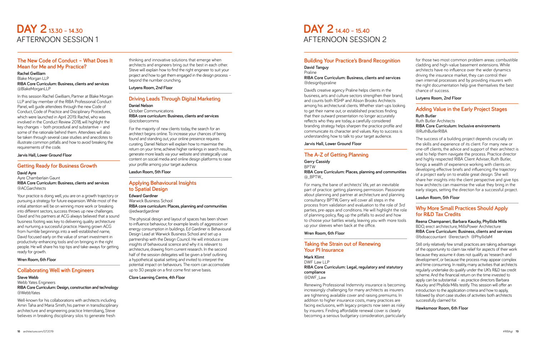## **DAY 2 13.30 – 14.30** AFTERNOON SESSION 1

### **The New Code of Conduct – What Does It Mean for Me and My Practice?**

#### **Rachel Gwilliam** Blake Morgan LLP **RIBA Core Curriculum: Business, clients and services**  @BlakeMorganLLP

In this session Rachel Gwilliam, Partner at Blake Morgan LLP and lay member of the RIBA Professional Conduct Panel, will quide attendees through the new Code of Conduct, Code of Practice and Disciplinary Procedures, which were launched in April 2019. Rachel, who was involved in the Conduct Review 2018, will highlight the key changes – both procedural and substantive – and some of the rationale behind them. Attendees will also be taken through several case studies and anecdotes to illustrate common pitfalls and how to avoid breaking the requirements of the code.

#### **Jarvis Hall, Lower Ground Floor**

#### **Getting Ready for Business Growth**

**David Ayre**  Ayre Chamberlain Gaunt **RIBA Core Curriculum: Business, clients and services** @ACGarchitects

Your practice is doing well, you are on a growth trajectory or pursuing a strategy for future expansion. While most of the initial attention will be on winning more work or breaking into different sectors, success throws up new challenges. David and his partners at ACG always believed that a sound business footing was key to delivering quality architecture and nurturing a successful practice. Having grown ACG from humble beginnings into a well-established name, David focused early on the value of smart investment in productivity-enhancing tools and on bringing in the right people. He will share his top tips and take-aways for getting ready for growth.

**Wren Room, 6th Floor**

#### **Collaborating Well with Engineers**

#### **Steve Webb** Webb Yates Engineers **RIBA Core Curriculum: Design, construction and technology** @WebbYates

Well-known for his collaborations with architects including Amin Taha and Maria Smith, his partner in transdisciplinary architecture and engineering practice Interrobang, Steve believes in breaking disciplinary silos to generate fresh

thinking and innovative solutions that emerge when architects and engineers bring out the best in each other. Steve will explain how to find the right engineer to suit your project and how to get them engaged in the design process – beyond the number crunching.

**Lutyens Room, 2nd Floor**

### **Driving Leads Through Digital Marketing**

### **Daniel Nelson**

#### October Communications **RIBA core curriculum: Business, clients and services** @octobercomms

For the majority of new clients today, the search for an architect begins online. To increase your chances of being found and standing out, your online presence requires curating. Daniel Nelson will explain how to maximise the return on your time, achieve higher rankings in search results, generate more leads via your website and strategically use content on social media and online design platforms to raise your profile among your target audience.

**Lasdun Room, 5th Floor**

### **Applying Behavioural Insights to Spatial Design**

### **Edward Gardiner** Warwick Business School

**RIBA core curriculum: Places, planning and communities** @edwardoardiner

The physical design and layout of spaces has been shown to influence behaviour, for example levels of aggression or energy consumption in buildings. Ed Gardiner is Behavioural Design Lead at Warwick Business School and set up a partnership with the Design Council. He will introduce core insights of behavioural science and why it is relevant to architecture, drawing from current research. In the second half of the session delegates will be given a brief outlining a hypothetical spatial setting and invited to interpret the potential impact on behaviours. The room can accomodate up to 30 people on a first come first serve basis.

**Clore Learning Centre, 4th Floor**

## **DAY 2 14.40 – 15.40** AFTERNOON SESSION 2

### **Building Your Practice's Brand Recognition**

#### **David Tanguy** Praline **RIBA Core Curriculum: Business, clients and services** @designbypraline

David's creative agency Praline helps clients in the business, arts and culture sectors strengthen their brand, and counts both RSHP and Alison Brooks Architects among his architectural clients. Whether start-ups looking to get their name out, or established practices finding that their outward presentation no longer accurately reflects who they are today, a carefully considered branding strategy helps sharpen the practice profile and communicate its character and values. Key to success is understanding how to talk to your target audience.

**Jarvis Hall, Lower Ground Floor**

### **The A-Z of Getting Planning**

#### **Gerry Cassidy** BPTW **RIBA Core Curriculum: Places, planning and communities** @\_BPTW\_

For many, the bane of architects' life, yet an inevitable part of practice: getting planning permission. Passionate about planning and partner at architecture and planning consultancy BPTW, Gerry will cover all steps in the process from validation and evaluation to the role of 3rd parties, pre-apps and conditions. He will highlight the role of planning policy, flag up the pitfalls to avoid and how to choose your battles wisely, leaving you with more tools up your sleeves when back at the office.

### **Wren Room, 6th Floor**

### **Taking the Strain out of Renewing Your PI Insurance**

**Mark Klimt** DWF Law LLP **RIBA Core Curriculum: Legal, regulatory and statutory compliance** @DWF\_Law

Renewing Professional Indemnity insurance is becoming increasingly challenging for many architects as insurers are tightening available cover and raising premiums. In addition to higher insurance costs, many practices are facing exclusions, with legacy projects now seen as risky by insurers. Finding affordable renewal cover is clearly becoming a serious budgetary consideration, particularly

for those two most common problem areas: combustible cladding and high-value basement extensions. While architects have no influence over the wider dynamics driving the insurance market, they can control their own internal processes and by providing insurers with the right documentation help give themselves the best chance of success.

#### **Lutyens Room, 2nd Floor**

#### **Adding Value in the Early Project Stages Ruth Butler**

Ruth Butler Architects **RIBA Core Curriculum: Inclusive environments** @RuthButlerRIBA

The success of a building project depends crucially on the skills and experience of its client. For many new or one-off clients, the advice and support of their architect is vital to help them navigate the process. Practice director and highly respected RIBA Client Adviser, Ruth Butler, brings a wealth of experience working with clients on developing effective briefs and influencing the trajectory of a project early on to enable great design. She will share her insights into the client perspective and give tips how architects can maximise the value they bring in the early stages, setting the direction for a successful project.

#### **Lasdun Room, 5th Floor**

### **Why More Small Practices Should Apply for R&D Tax Credits**

**Reena Champaneri, Barbara Kaucky, Phyllida Mills** BDO, erect architecture, MillsPower Architecture **RIBA Core Curriculum: Business, clients and services** @bdoaccountant @erectarch @PhyllidaM

Still only relatively few small practices are taking advantage of the opportunity to claim tax relief for aspects of their work because they assume it does not qualify as 'research and development', or because the process may appear complex and time consuming. In reality, many activities that architects regularly undertake do qualify under the UK's R&D tax credit scheme. And the financial return on the time invested to apply can be substantial – as practice directors Barbara Kaucky and Phyllida Mills testify. This session will offer an introduction to the application criteria and how to apply, followed by short case studies of activities both architects successfully claimed for.

**Hawksmoor Room, 6th Floor**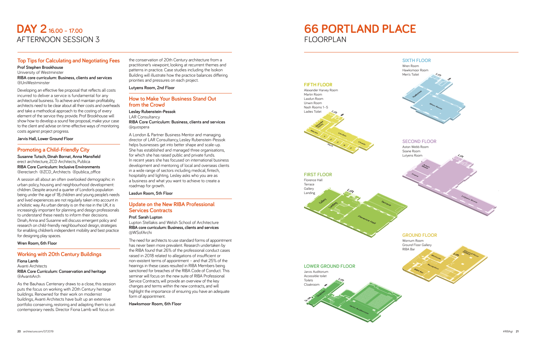## **DAY 2 16.00 – 17.00** AFTERNOON SESSION 3

### **Top Tips for Calculating and Negotiating Fees**

**Prof Stephen Brookhouse** University of Westminster **RIBA core curriculum: Business, clients and services** @UniWestminster

Developing an effective fee proposal that reflects all costs incurred to deliver a service is fundamental for any architectural business. To achieve and maintain profitability, architects need to be clear about all their costs and overheads and take a methodical approach to the costing of every element of the service they provide. Prof Brookhouse will show how to develop a sound fee proposal, make your case to the client and advise on time-effective ways of monitoring costs against project progress.

**Jarvis Hall, Lower Ground Floor**

### **Promoting a Child-Friendly City**

**Susanne Tutsch, Dinah Bornat, Anna Mansfield**  erect architecture, ZCD Architects, Publica<br>
RIBA Core Curriculum: Inclusive Environments **RIBA Core Curriculum: Inclusive Environments** @erectarch @ZCD\_Architects @publica\_office

A session all about an often overlooked demographic in urban policy, housing and neighbourhood development: children. Despite around a quarter of London's population being under the age of 18, children and young people's needs and lived experiences are not regularly taken into account in a holistic way. As urban density is on the rise in the UK, it is increasingly important for planning and design professionals to understand these needs to inform their decisions. Dinah, Anna and Susanne will discuss emergent policy and research on child-friendly neighbourhood design, strategies for enabling children's independent mobility and best practice for designing play spaces.

#### **Wren Room, 6th Floor**

### **Working with 20th Century Buildings**

**Fiona Lamb** Avanti Architects **RIBA Core Curriculum: Conservation and heritage** @AvantiArch

As the Bauhaus Centenary draws to a close, this session puts the focus on working with 20th Century heritage buildings. Renowned for their work on modernist buildings, Avanti Architects have built up an extensive portfolio conserving, restoring and adapting them to suit contemporary needs. Director Fiona Lamb will focus on

the conservation of 20th Century architecture from a practitioner's viewpoint, looking at recurrent themes and patterns in practice. Case studies including the Isokon Building will illustrate how the practice balances differing priorities and pressures on each project.

**Lutyens Room, 2nd Floor**

#### **How to Make Your Business Stand Out from the Crowd**

**Lesley Rubenstein-Pessok** LAR Consultancy **RIBA Core Curriculum: Business, clients and services** @quospera

A London & Partner Business Mentor and managing director of LAR Consultancy, Lesley Rubenstein-Pessok helps businesses get into better shape and scale-up. She has established and managed three organisations, for which she has raised public and private funds. In recent years she has focused on international business development and mentoring of local and overseas clients in a wide range of sectors including medical, fintech, hospitality and lighting. Lesley asks who you are as a business and what you want to achieve to create a roadmap for growth.

**Lasdun Room, 5th Floor**

### **Update on the New RIBA Professional Services Contracts**

#### **Prof. Sarah Lupton**

Lupton Stellakis and Welsh School of Architecture **RIBA core curriculum: Business, clients and services** @WSofArchi

The need for architects to use standard forms of appointment has never been more prevalent. Research undertaken by the RIBA found that 26% of the professional conduct cases raised in 2018 related to allegations of insufficient or non-existent terms of appointment – and that 25% of the hearings in these cases resulted in RIBA Members being sanctioned for breaches of the RIBA Code of Conduct. This seminar will focus on the new suite of RIBA Professional Service Contracts, will provide an overview of the key changes and terms within the new contracts, and will highlight the importance of ensuring you have an adequate form of appointment.

**Hawksmoor Room, 6th Floor**